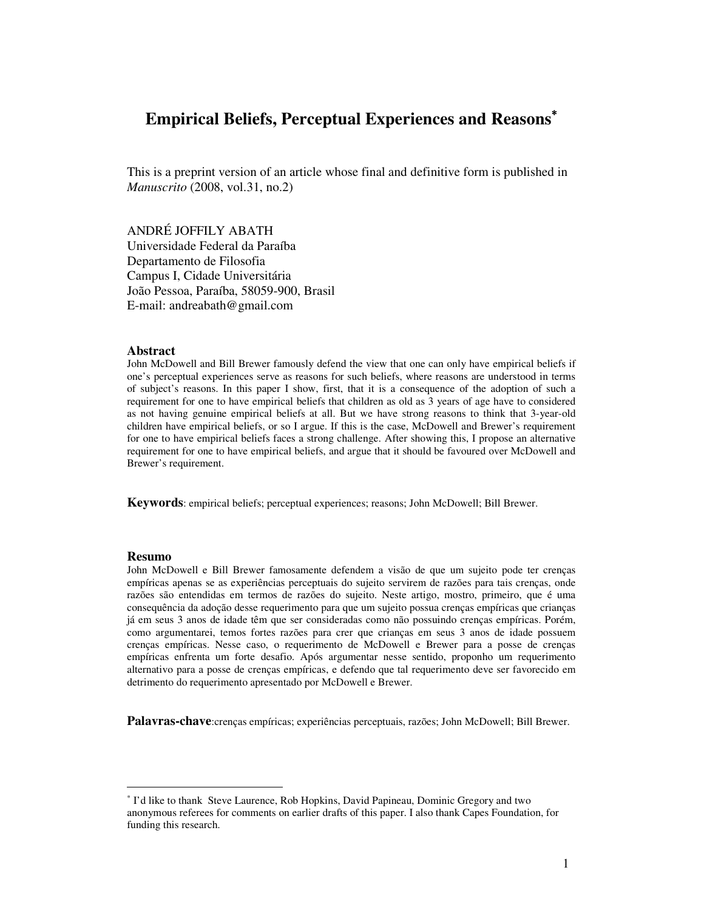# **Empirical Beliefs, Perceptual Experiences and Reasons**<sup>∗</sup>

This is a preprint version of an article whose final and definitive form is published in *Manuscrito* (2008, vol.31, no.2)

ANDRÉ JOFFILY ABATH Universidade Federal da Paraíba Departamento de Filosofia Campus I, Cidade Universitária João Pessoa, Paraíba, 58059-900, Brasil E-mail: andreabath@gmail.com

## **Abstract**

John McDowell and Bill Brewer famously defend the view that one can only have empirical beliefs if one's perceptual experiences serve as reasons for such beliefs, where reasons are understood in terms of subject's reasons. In this paper I show, first, that it is a consequence of the adoption of such a requirement for one to have empirical beliefs that children as old as 3 years of age have to considered as not having genuine empirical beliefs at all. But we have strong reasons to think that 3-year-old children have empirical beliefs, or so I argue. If this is the case, McDowell and Brewer's requirement for one to have empirical beliefs faces a strong challenge. After showing this, I propose an alternative requirement for one to have empirical beliefs, and argue that it should be favoured over McDowell and Brewer's requirement.

**Keywords**: empirical beliefs; perceptual experiences; reasons; John McDowell; Bill Brewer.

#### **Resumo**

-

John McDowell e Bill Brewer famosamente defendem a visão de que um sujeito pode ter crenças empíricas apenas se as experiências perceptuais do sujeito servirem de razões para tais crenças, onde razões são entendidas em termos de razões do sujeito. Neste artigo, mostro, primeiro, que é uma consequência da adoção desse requerimento para que um sujeito possua crenças empíricas que crianças já em seus 3 anos de idade têm que ser consideradas como não possuindo crenças empíricas. Porém, como argumentarei, temos fortes razões para crer que crianças em seus 3 anos de idade possuem crenças empíricas. Nesse caso, o requerimento de McDowell e Brewer para a posse de crenças empíricas enfrenta um forte desafio. Após argumentar nesse sentido, proponho um requerimento alternativo para a posse de crenças empíricas, e defendo que tal requerimento deve ser favorecido em detrimento do requerimento apresentado por McDowell e Brewer.

**Palavras-chave**:crenças empíricas; experiências perceptuais, razões; John McDowell; Bill Brewer.

<sup>∗</sup> I'd like to thank Steve Laurence, Rob Hopkins, David Papineau, Dominic Gregory and two anonymous referees for comments on earlier drafts of this paper. I also thank Capes Foundation, for funding this research.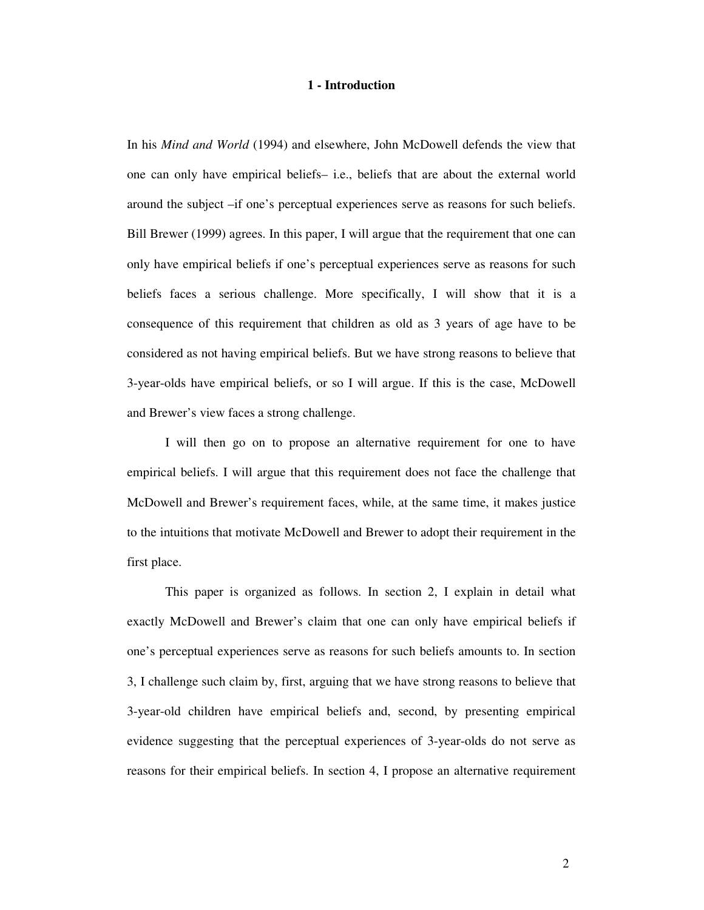# **1 - Introduction**

In his *Mind and World* (1994) and elsewhere, John McDowell defends the view that one can only have empirical beliefs– i.e., beliefs that are about the external world around the subject –if one's perceptual experiences serve as reasons for such beliefs. Bill Brewer (1999) agrees. In this paper, I will argue that the requirement that one can only have empirical beliefs if one's perceptual experiences serve as reasons for such beliefs faces a serious challenge. More specifically, I will show that it is a consequence of this requirement that children as old as 3 years of age have to be considered as not having empirical beliefs. But we have strong reasons to believe that 3-year-olds have empirical beliefs, or so I will argue. If this is the case, McDowell and Brewer's view faces a strong challenge.

I will then go on to propose an alternative requirement for one to have empirical beliefs. I will argue that this requirement does not face the challenge that McDowell and Brewer's requirement faces, while, at the same time, it makes justice to the intuitions that motivate McDowell and Brewer to adopt their requirement in the first place.

 This paper is organized as follows. In section 2, I explain in detail what exactly McDowell and Brewer's claim that one can only have empirical beliefs if one's perceptual experiences serve as reasons for such beliefs amounts to. In section 3, I challenge such claim by, first, arguing that we have strong reasons to believe that 3-year-old children have empirical beliefs and, second, by presenting empirical evidence suggesting that the perceptual experiences of 3-year-olds do not serve as reasons for their empirical beliefs. In section 4, I propose an alternative requirement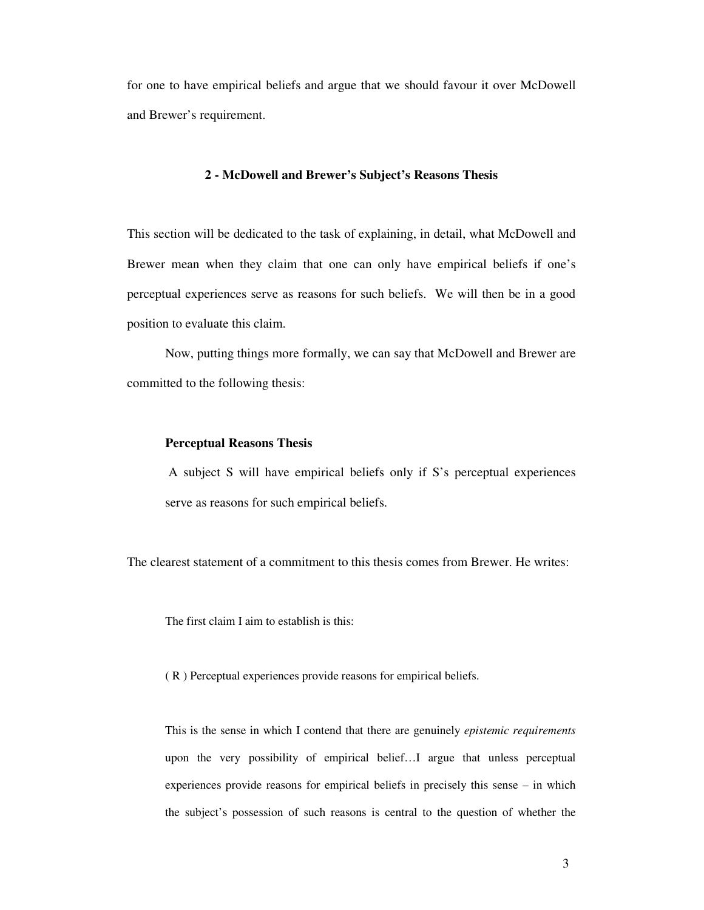for one to have empirical beliefs and argue that we should favour it over McDowell and Brewer's requirement.

# **2 - McDowell and Brewer's Subject's Reasons Thesis**

This section will be dedicated to the task of explaining, in detail, what McDowell and Brewer mean when they claim that one can only have empirical beliefs if one's perceptual experiences serve as reasons for such beliefs. We will then be in a good position to evaluate this claim.

 Now, putting things more formally, we can say that McDowell and Brewer are committed to the following thesis:

# **Perceptual Reasons Thesis**

 A subject S will have empirical beliefs only if S's perceptual experiences serve as reasons for such empirical beliefs.

The clearest statement of a commitment to this thesis comes from Brewer. He writes:

The first claim I aim to establish is this:

( R ) Perceptual experiences provide reasons for empirical beliefs.

This is the sense in which I contend that there are genuinely *epistemic requirements* upon the very possibility of empirical belief…I argue that unless perceptual experiences provide reasons for empirical beliefs in precisely this sense – in which the subject's possession of such reasons is central to the question of whether the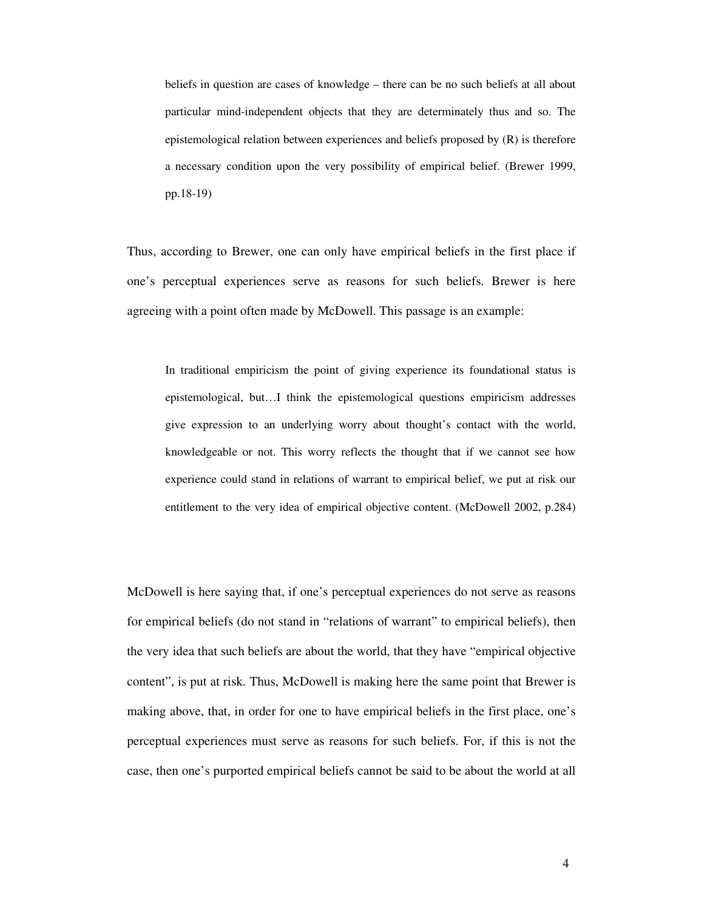beliefs in question are cases of knowledge – there can be no such beliefs at all about particular mind-independent objects that they are determinately thus and so. The epistemological relation between experiences and beliefs proposed by (R) is therefore a necessary condition upon the very possibility of empirical belief. (Brewer 1999, pp.18-19)

Thus, according to Brewer, one can only have empirical beliefs in the first place if one's perceptual experiences serve as reasons for such beliefs. Brewer is here agreeing with a point often made by McDowell. This passage is an example:

In traditional empiricism the point of giving experience its foundational status is epistemological, but…I think the epistemological questions empiricism addresses give expression to an underlying worry about thought's contact with the world, knowledgeable or not. This worry reflects the thought that if we cannot see how experience could stand in relations of warrant to empirical belief, we put at risk our entitlement to the very idea of empirical objective content. (McDowell 2002, p.284)

McDowell is here saying that, if one's perceptual experiences do not serve as reasons for empirical beliefs (do not stand in "relations of warrant" to empirical beliefs), then the very idea that such beliefs are about the world, that they have "empirical objective content", is put at risk. Thus, McDowell is making here the same point that Brewer is making above, that, in order for one to have empirical beliefs in the first place, one's perceptual experiences must serve as reasons for such beliefs. For, if this is not the case, then one's purported empirical beliefs cannot be said to be about the world at all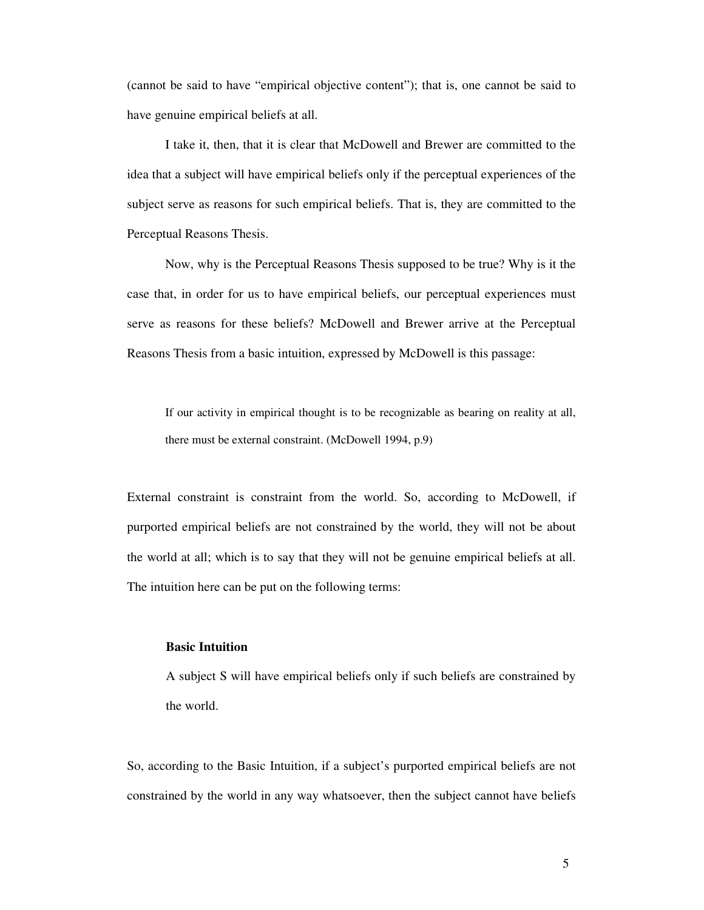(cannot be said to have "empirical objective content"); that is, one cannot be said to have genuine empirical beliefs at all.

 I take it, then, that it is clear that McDowell and Brewer are committed to the idea that a subject will have empirical beliefs only if the perceptual experiences of the subject serve as reasons for such empirical beliefs. That is, they are committed to the Perceptual Reasons Thesis.

Now, why is the Perceptual Reasons Thesis supposed to be true? Why is it the case that, in order for us to have empirical beliefs, our perceptual experiences must serve as reasons for these beliefs? McDowell and Brewer arrive at the Perceptual Reasons Thesis from a basic intuition, expressed by McDowell is this passage:

If our activity in empirical thought is to be recognizable as bearing on reality at all, there must be external constraint. (McDowell 1994, p.9)

External constraint is constraint from the world. So, according to McDowell, if purported empirical beliefs are not constrained by the world, they will not be about the world at all; which is to say that they will not be genuine empirical beliefs at all. The intuition here can be put on the following terms:

# **Basic Intuition**

A subject S will have empirical beliefs only if such beliefs are constrained by the world.

So, according to the Basic Intuition, if a subject's purported empirical beliefs are not constrained by the world in any way whatsoever, then the subject cannot have beliefs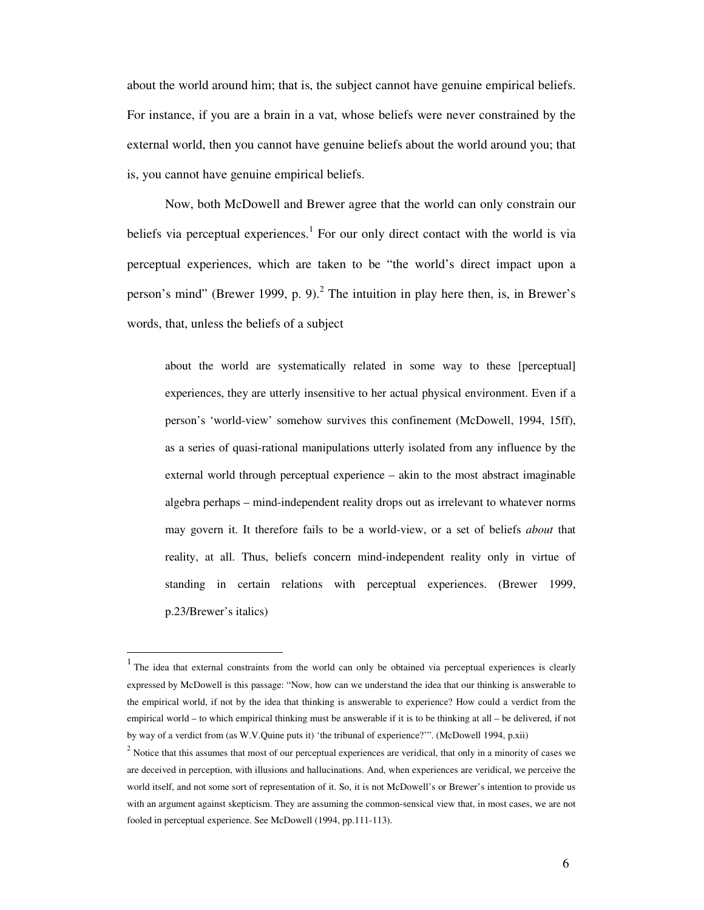about the world around him; that is, the subject cannot have genuine empirical beliefs. For instance, if you are a brain in a vat, whose beliefs were never constrained by the external world, then you cannot have genuine beliefs about the world around you; that is, you cannot have genuine empirical beliefs.

Now, both McDowell and Brewer agree that the world can only constrain our beliefs via perceptual experiences.<sup>1</sup> For our only direct contact with the world is via perceptual experiences, which are taken to be "the world's direct impact upon a person's mind" (Brewer 1999, p. 9).<sup>2</sup> The intuition in play here then, is, in Brewer's words, that, unless the beliefs of a subject

about the world are systematically related in some way to these [perceptual] experiences, they are utterly insensitive to her actual physical environment. Even if a person's 'world-view' somehow survives this confinement (McDowell, 1994, 15ff), as a series of quasi-rational manipulations utterly isolated from any influence by the external world through perceptual experience – akin to the most abstract imaginable algebra perhaps – mind-independent reality drops out as irrelevant to whatever norms may govern it. It therefore fails to be a world-view, or a set of beliefs *about* that reality, at all. Thus, beliefs concern mind-independent reality only in virtue of standing in certain relations with perceptual experiences. (Brewer 1999, p.23/Brewer's italics)

-

<sup>1</sup> The idea that external constraints from the world can only be obtained via perceptual experiences is clearly expressed by McDowell is this passage: "Now, how can we understand the idea that our thinking is answerable to the empirical world, if not by the idea that thinking is answerable to experience? How could a verdict from the empirical world – to which empirical thinking must be answerable if it is to be thinking at all – be delivered, if not by way of a verdict from (as W.V.Quine puts it) 'the tribunal of experience?'". (McDowell 1994, p.xii)

 $2$  Notice that this assumes that most of our perceptual experiences are veridical, that only in a minority of cases we are deceived in perception, with illusions and hallucinations. And, when experiences are veridical, we perceive the world itself, and not some sort of representation of it. So, it is not McDowell's or Brewer's intention to provide us with an argument against skepticism. They are assuming the common-sensical view that, in most cases, we are not fooled in perceptual experience. See McDowell (1994, pp.111-113).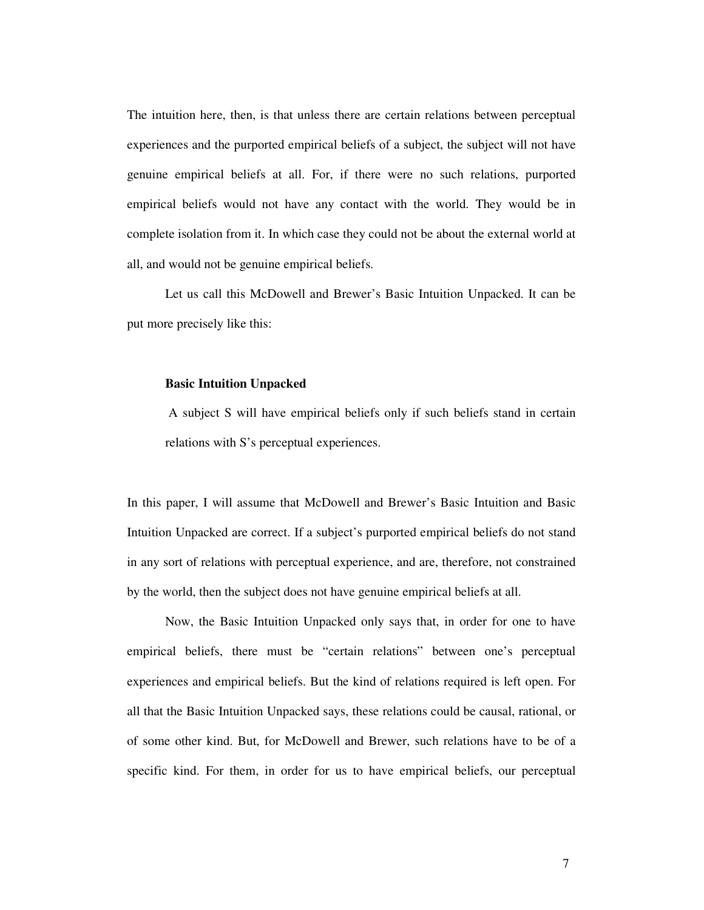The intuition here, then, is that unless there are certain relations between perceptual experiences and the purported empirical beliefs of a subject, the subject will not have genuine empirical beliefs at all. For, if there were no such relations, purported empirical beliefs would not have any contact with the world. They would be in complete isolation from it. In which case they could not be about the external world at all, and would not be genuine empirical beliefs.

Let us call this McDowell and Brewer's Basic Intuition Unpacked. It can be put more precisely like this:

### **Basic Intuition Unpacked**

 A subject S will have empirical beliefs only if such beliefs stand in certain relations with S's perceptual experiences.

In this paper, I will assume that McDowell and Brewer's Basic Intuition and Basic Intuition Unpacked are correct. If a subject's purported empirical beliefs do not stand in any sort of relations with perceptual experience, and are, therefore, not constrained by the world, then the subject does not have genuine empirical beliefs at all.

Now, the Basic Intuition Unpacked only says that, in order for one to have empirical beliefs, there must be "certain relations" between one's perceptual experiences and empirical beliefs. But the kind of relations required is left open. For all that the Basic Intuition Unpacked says, these relations could be causal, rational, or of some other kind. But, for McDowell and Brewer, such relations have to be of a specific kind. For them, in order for us to have empirical beliefs, our perceptual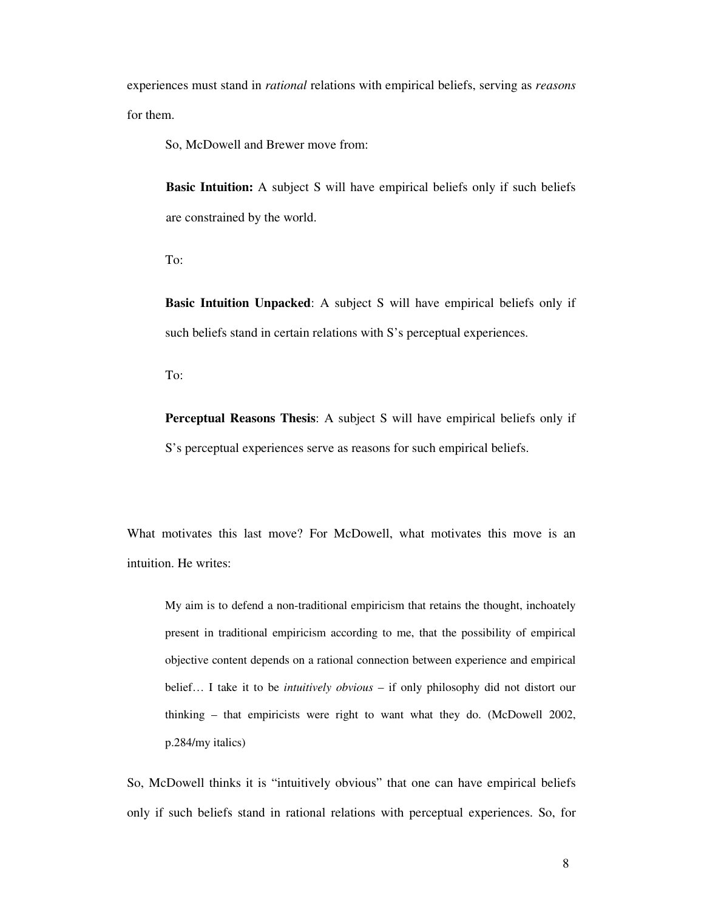experiences must stand in *rational* relations with empirical beliefs, serving as *reasons* for them.

So, McDowell and Brewer move from:

**Basic Intuition:** A subject S will have empirical beliefs only if such beliefs are constrained by the world.

To:

**Basic Intuition Unpacked**: A subject S will have empirical beliefs only if such beliefs stand in certain relations with S's perceptual experiences.

To:

**Perceptual Reasons Thesis**: A subject S will have empirical beliefs only if S's perceptual experiences serve as reasons for such empirical beliefs.

What motivates this last move? For McDowell, what motivates this move is an intuition. He writes:

My aim is to defend a non-traditional empiricism that retains the thought, inchoately present in traditional empiricism according to me, that the possibility of empirical objective content depends on a rational connection between experience and empirical belief… I take it to be *intuitively obvious* – if only philosophy did not distort our thinking – that empiricists were right to want what they do. (McDowell 2002, p.284/my italics)

So, McDowell thinks it is "intuitively obvious" that one can have empirical beliefs only if such beliefs stand in rational relations with perceptual experiences. So, for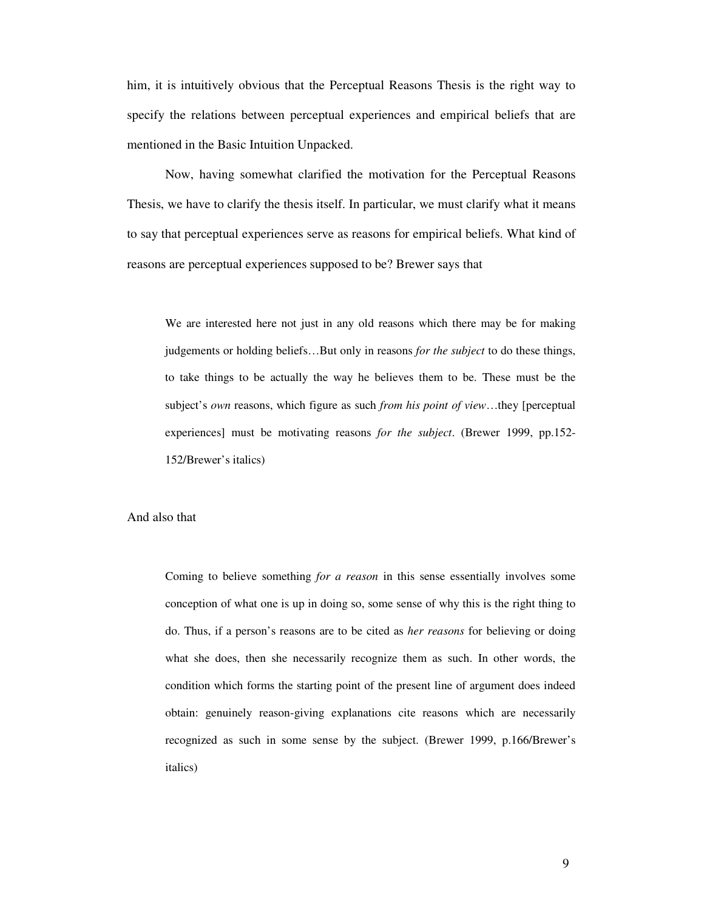him, it is intuitively obvious that the Perceptual Reasons Thesis is the right way to specify the relations between perceptual experiences and empirical beliefs that are mentioned in the Basic Intuition Unpacked.

 Now, having somewhat clarified the motivation for the Perceptual Reasons Thesis, we have to clarify the thesis itself. In particular, we must clarify what it means to say that perceptual experiences serve as reasons for empirical beliefs. What kind of reasons are perceptual experiences supposed to be? Brewer says that

We are interested here not just in any old reasons which there may be for making judgements or holding beliefs…But only in reasons *for the subject* to do these things, to take things to be actually the way he believes them to be. These must be the subject's *own* reasons, which figure as such *from his point of view*…they [perceptual experiences] must be motivating reasons *for the subject*. (Brewer 1999, pp.152- 152/Brewer's italics)

# And also that

Coming to believe something *for a reason* in this sense essentially involves some conception of what one is up in doing so, some sense of why this is the right thing to do. Thus, if a person's reasons are to be cited as *her reasons* for believing or doing what she does, then she necessarily recognize them as such. In other words, the condition which forms the starting point of the present line of argument does indeed obtain: genuinely reason-giving explanations cite reasons which are necessarily recognized as such in some sense by the subject. (Brewer 1999, p.166/Brewer's italics)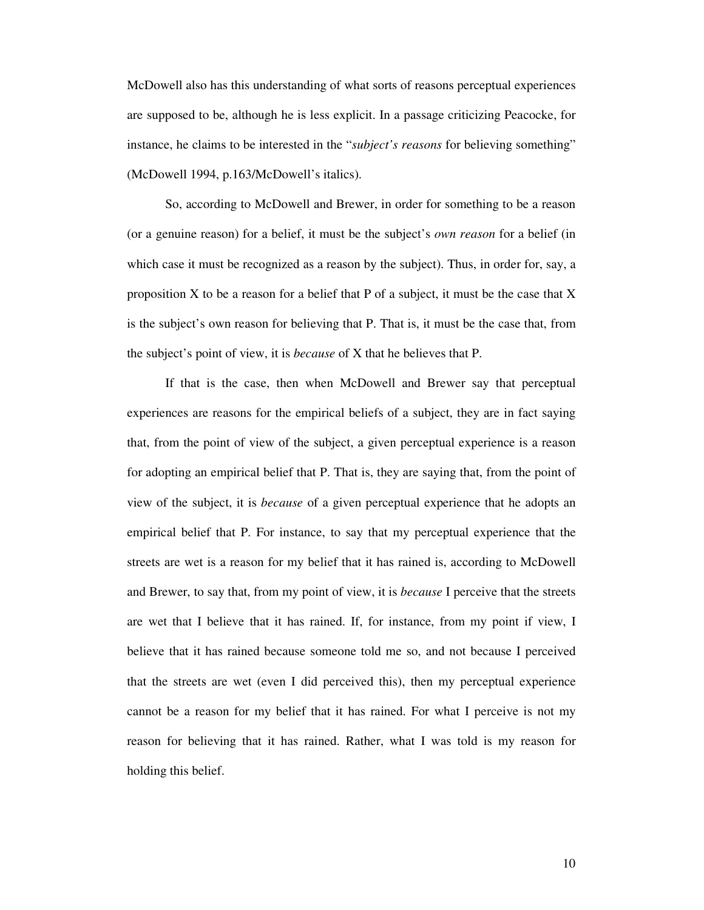McDowell also has this understanding of what sorts of reasons perceptual experiences are supposed to be, although he is less explicit. In a passage criticizing Peacocke, for instance, he claims to be interested in the "*subject's reasons* for believing something" (McDowell 1994, p.163/McDowell's italics).

 So, according to McDowell and Brewer, in order for something to be a reason (or a genuine reason) for a belief, it must be the subject's *own reason* for a belief (in which case it must be recognized as a reason by the subject). Thus, in order for, say, a proposition  $X$  to be a reason for a belief that P of a subject, it must be the case that  $X$ is the subject's own reason for believing that P. That is, it must be the case that, from the subject's point of view, it is *because* of X that he believes that P.

 If that is the case, then when McDowell and Brewer say that perceptual experiences are reasons for the empirical beliefs of a subject, they are in fact saying that, from the point of view of the subject, a given perceptual experience is a reason for adopting an empirical belief that P. That is, they are saying that, from the point of view of the subject, it is *because* of a given perceptual experience that he adopts an empirical belief that P. For instance, to say that my perceptual experience that the streets are wet is a reason for my belief that it has rained is, according to McDowell and Brewer, to say that, from my point of view, it is *because* I perceive that the streets are wet that I believe that it has rained. If, for instance, from my point if view, I believe that it has rained because someone told me so, and not because I perceived that the streets are wet (even I did perceived this), then my perceptual experience cannot be a reason for my belief that it has rained. For what I perceive is not my reason for believing that it has rained. Rather, what I was told is my reason for holding this belief.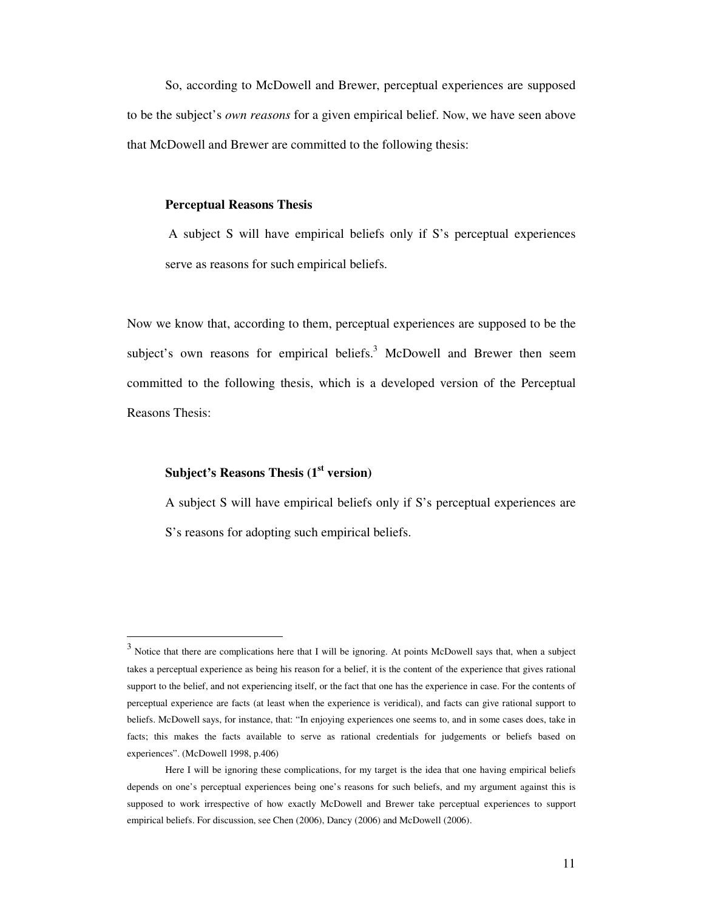So, according to McDowell and Brewer, perceptual experiences are supposed to be the subject's *own reasons* for a given empirical belief. Now, we have seen above that McDowell and Brewer are committed to the following thesis:

### **Perceptual Reasons Thesis**

A subject S will have empirical beliefs only if S's perceptual experiences serve as reasons for such empirical beliefs.

Now we know that, according to them, perceptual experiences are supposed to be the subject's own reasons for empirical beliefs.<sup>3</sup> McDowell and Brewer then seem committed to the following thesis, which is a developed version of the Perceptual Reasons Thesis:

# **Subject's Reasons Thesis (1st version)**

-

A subject S will have empirical beliefs only if S's perceptual experiences are S's reasons for adopting such empirical beliefs.

 $3$  Notice that there are complications here that I will be ignoring. At points McDowell says that, when a subject takes a perceptual experience as being his reason for a belief, it is the content of the experience that gives rational support to the belief, and not experiencing itself, or the fact that one has the experience in case. For the contents of perceptual experience are facts (at least when the experience is veridical), and facts can give rational support to beliefs. McDowell says, for instance, that: "In enjoying experiences one seems to, and in some cases does, take in facts; this makes the facts available to serve as rational credentials for judgements or beliefs based on experiences". (McDowell 1998, p.406)

Here I will be ignoring these complications, for my target is the idea that one having empirical beliefs depends on one's perceptual experiences being one's reasons for such beliefs, and my argument against this is supposed to work irrespective of how exactly McDowell and Brewer take perceptual experiences to support empirical beliefs. For discussion, see Chen (2006), Dancy (2006) and McDowell (2006).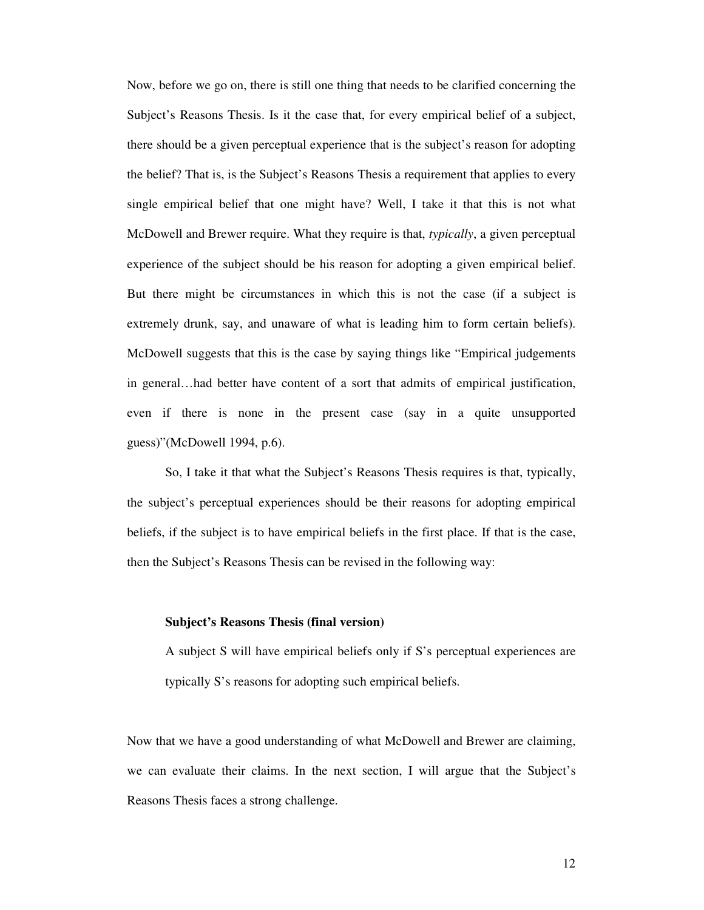Now, before we go on, there is still one thing that needs to be clarified concerning the Subject's Reasons Thesis. Is it the case that, for every empirical belief of a subject, there should be a given perceptual experience that is the subject's reason for adopting the belief? That is, is the Subject's Reasons Thesis a requirement that applies to every single empirical belief that one might have? Well, I take it that this is not what McDowell and Brewer require. What they require is that, *typically*, a given perceptual experience of the subject should be his reason for adopting a given empirical belief. But there might be circumstances in which this is not the case (if a subject is extremely drunk, say, and unaware of what is leading him to form certain beliefs). McDowell suggests that this is the case by saying things like "Empirical judgements in general…had better have content of a sort that admits of empirical justification, even if there is none in the present case (say in a quite unsupported guess)"(McDowell 1994, p.6).

 So, I take it that what the Subject's Reasons Thesis requires is that, typically, the subject's perceptual experiences should be their reasons for adopting empirical beliefs, if the subject is to have empirical beliefs in the first place. If that is the case, then the Subject's Reasons Thesis can be revised in the following way:

# **Subject's Reasons Thesis (final version)**

A subject S will have empirical beliefs only if S's perceptual experiences are typically S's reasons for adopting such empirical beliefs.

Now that we have a good understanding of what McDowell and Brewer are claiming, we can evaluate their claims. In the next section, I will argue that the Subject's Reasons Thesis faces a strong challenge.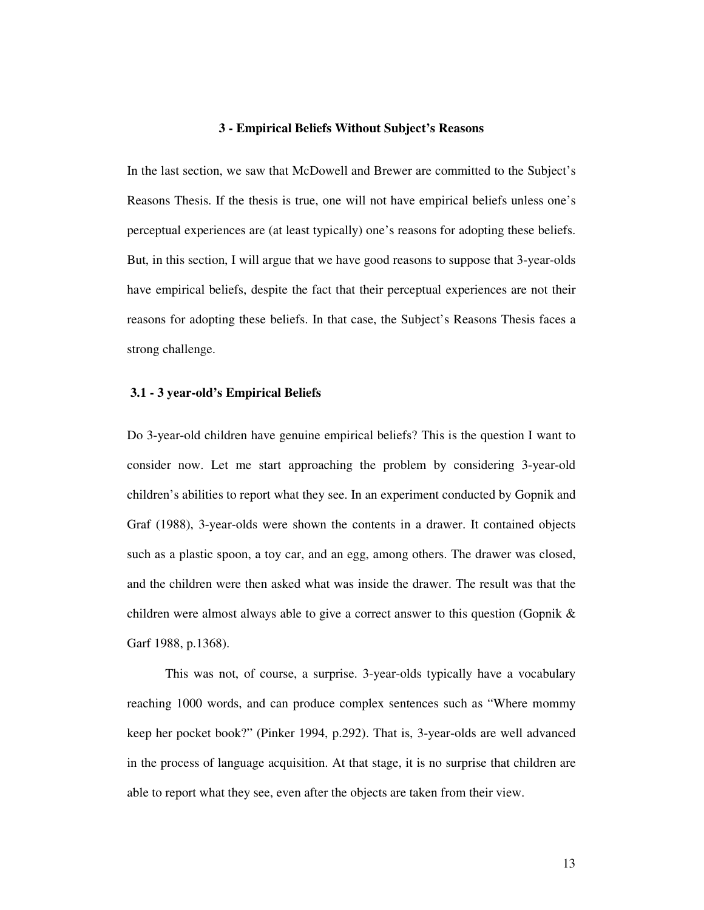### **3 - Empirical Beliefs Without Subject's Reasons**

In the last section, we saw that McDowell and Brewer are committed to the Subject's Reasons Thesis. If the thesis is true, one will not have empirical beliefs unless one's perceptual experiences are (at least typically) one's reasons for adopting these beliefs. But, in this section, I will argue that we have good reasons to suppose that 3-year-olds have empirical beliefs, despite the fact that their perceptual experiences are not their reasons for adopting these beliefs. In that case, the Subject's Reasons Thesis faces a strong challenge.

## **3.1 - 3 year-old's Empirical Beliefs**

Do 3-year-old children have genuine empirical beliefs? This is the question I want to consider now. Let me start approaching the problem by considering 3-year-old children's abilities to report what they see. In an experiment conducted by Gopnik and Graf (1988), 3-year-olds were shown the contents in a drawer. It contained objects such as a plastic spoon, a toy car, and an egg, among others. The drawer was closed, and the children were then asked what was inside the drawer. The result was that the children were almost always able to give a correct answer to this question (Gopnik & Garf 1988, p.1368).

 This was not, of course, a surprise. 3-year-olds typically have a vocabulary reaching 1000 words, and can produce complex sentences such as "Where mommy keep her pocket book?" (Pinker 1994, p.292). That is, 3-year-olds are well advanced in the process of language acquisition. At that stage, it is no surprise that children are able to report what they see, even after the objects are taken from their view.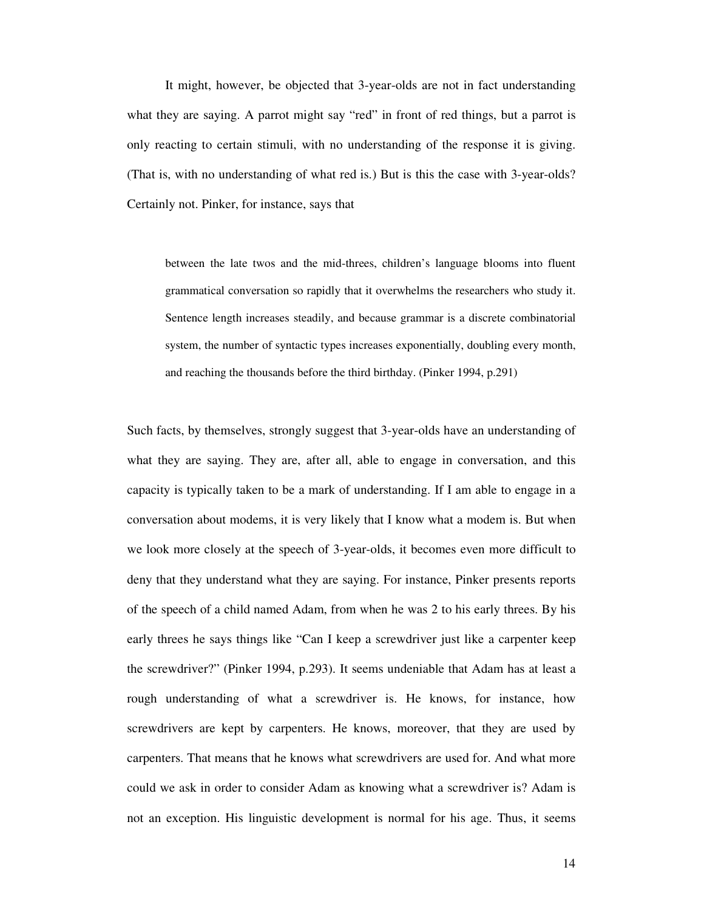It might, however, be objected that 3-year-olds are not in fact understanding what they are saying. A parrot might say "red" in front of red things, but a parrot is only reacting to certain stimuli, with no understanding of the response it is giving. (That is, with no understanding of what red is.) But is this the case with 3-year-olds? Certainly not. Pinker, for instance, says that

between the late twos and the mid-threes, children's language blooms into fluent grammatical conversation so rapidly that it overwhelms the researchers who study it. Sentence length increases steadily, and because grammar is a discrete combinatorial system, the number of syntactic types increases exponentially, doubling every month, and reaching the thousands before the third birthday. (Pinker 1994, p.291)

Such facts, by themselves, strongly suggest that 3-year-olds have an understanding of what they are saying. They are, after all, able to engage in conversation, and this capacity is typically taken to be a mark of understanding. If I am able to engage in a conversation about modems, it is very likely that I know what a modem is. But when we look more closely at the speech of 3-year-olds, it becomes even more difficult to deny that they understand what they are saying. For instance, Pinker presents reports of the speech of a child named Adam, from when he was 2 to his early threes. By his early threes he says things like "Can I keep a screwdriver just like a carpenter keep the screwdriver?" (Pinker 1994, p.293). It seems undeniable that Adam has at least a rough understanding of what a screwdriver is. He knows, for instance, how screwdrivers are kept by carpenters. He knows, moreover, that they are used by carpenters. That means that he knows what screwdrivers are used for. And what more could we ask in order to consider Adam as knowing what a screwdriver is? Adam is not an exception. His linguistic development is normal for his age. Thus, it seems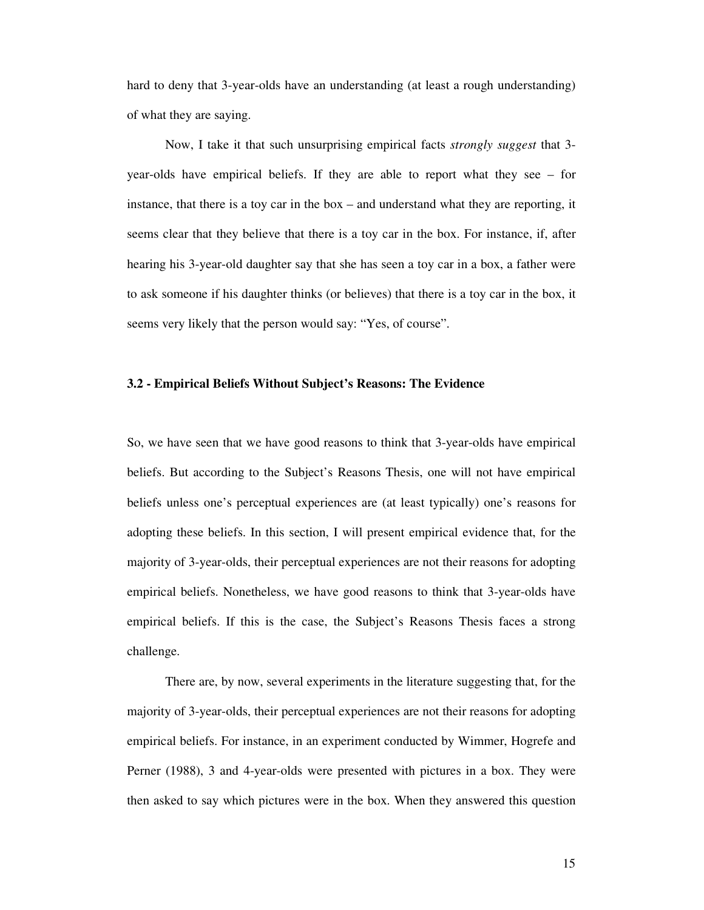hard to deny that 3-year-olds have an understanding (at least a rough understanding) of what they are saying.

 Now, I take it that such unsurprising empirical facts *strongly suggest* that 3 year-olds have empirical beliefs. If they are able to report what they see – for instance, that there is a toy car in the box – and understand what they are reporting, it seems clear that they believe that there is a toy car in the box. For instance, if, after hearing his 3-year-old daughter say that she has seen a toy car in a box, a father were to ask someone if his daughter thinks (or believes) that there is a toy car in the box, it seems very likely that the person would say: "Yes, of course".

# **3.2 - Empirical Beliefs Without Subject's Reasons: The Evidence**

So, we have seen that we have good reasons to think that 3-year-olds have empirical beliefs. But according to the Subject's Reasons Thesis, one will not have empirical beliefs unless one's perceptual experiences are (at least typically) one's reasons for adopting these beliefs. In this section, I will present empirical evidence that, for the majority of 3-year-olds, their perceptual experiences are not their reasons for adopting empirical beliefs. Nonetheless, we have good reasons to think that 3-year-olds have empirical beliefs. If this is the case, the Subject's Reasons Thesis faces a strong challenge.

 There are, by now, several experiments in the literature suggesting that, for the majority of 3-year-olds, their perceptual experiences are not their reasons for adopting empirical beliefs. For instance, in an experiment conducted by Wimmer, Hogrefe and Perner (1988), 3 and 4-year-olds were presented with pictures in a box. They were then asked to say which pictures were in the box. When they answered this question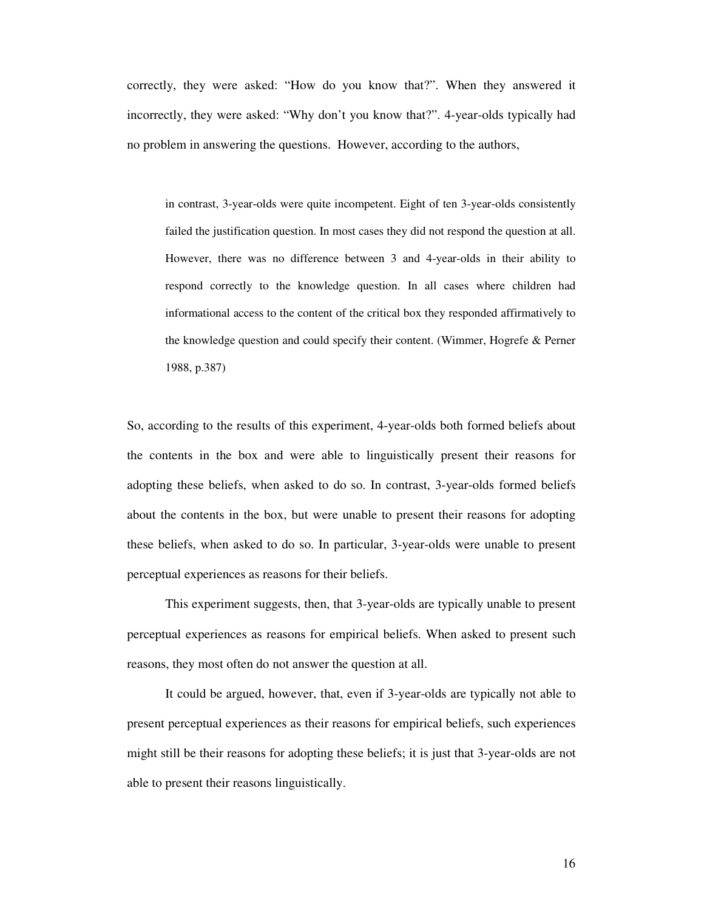correctly, they were asked: "How do you know that?". When they answered it incorrectly, they were asked: "Why don't you know that?". 4-year-olds typically had no problem in answering the questions. However, according to the authors,

in contrast, 3-year-olds were quite incompetent. Eight of ten 3-year-olds consistently failed the justification question. In most cases they did not respond the question at all. However, there was no difference between 3 and 4-year-olds in their ability to respond correctly to the knowledge question. In all cases where children had informational access to the content of the critical box they responded affirmatively to the knowledge question and could specify their content. (Wimmer, Hogrefe & Perner 1988, p.387)

So, according to the results of this experiment, 4-year-olds both formed beliefs about the contents in the box and were able to linguistically present their reasons for adopting these beliefs, when asked to do so. In contrast, 3-year-olds formed beliefs about the contents in the box, but were unable to present their reasons for adopting these beliefs, when asked to do so. In particular, 3-year-olds were unable to present perceptual experiences as reasons for their beliefs.

 This experiment suggests, then, that 3-year-olds are typically unable to present perceptual experiences as reasons for empirical beliefs. When asked to present such reasons, they most often do not answer the question at all.

 It could be argued, however, that, even if 3-year-olds are typically not able to present perceptual experiences as their reasons for empirical beliefs, such experiences might still be their reasons for adopting these beliefs; it is just that 3-year-olds are not able to present their reasons linguistically.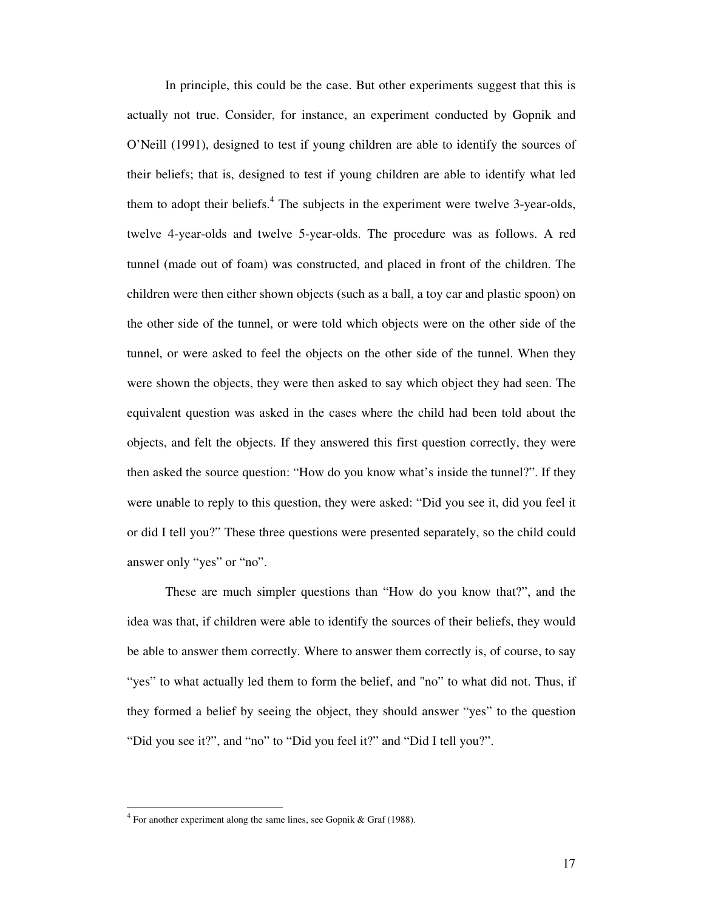In principle, this could be the case. But other experiments suggest that this is actually not true. Consider, for instance, an experiment conducted by Gopnik and O'Neill (1991), designed to test if young children are able to identify the sources of their beliefs; that is, designed to test if young children are able to identify what led them to adopt their beliefs. $4$  The subjects in the experiment were twelve 3-year-olds, twelve 4-year-olds and twelve 5-year-olds. The procedure was as follows. A red tunnel (made out of foam) was constructed, and placed in front of the children. The children were then either shown objects (such as a ball, a toy car and plastic spoon) on the other side of the tunnel, or were told which objects were on the other side of the tunnel, or were asked to feel the objects on the other side of the tunnel. When they were shown the objects, they were then asked to say which object they had seen. The equivalent question was asked in the cases where the child had been told about the objects, and felt the objects. If they answered this first question correctly, they were then asked the source question: "How do you know what's inside the tunnel?". If they were unable to reply to this question, they were asked: "Did you see it, did you feel it or did I tell you?" These three questions were presented separately, so the child could answer only "yes" or "no".

 These are much simpler questions than "How do you know that?", and the idea was that, if children were able to identify the sources of their beliefs, they would be able to answer them correctly. Where to answer them correctly is, of course, to say "yes" to what actually led them to form the belief, and "no" to what did not. Thus, if they formed a belief by seeing the object, they should answer "yes" to the question "Did you see it?", and "no" to "Did you feel it?" and "Did I tell you?".

-

 $4$  For another experiment along the same lines, see Gopnik & Graf (1988).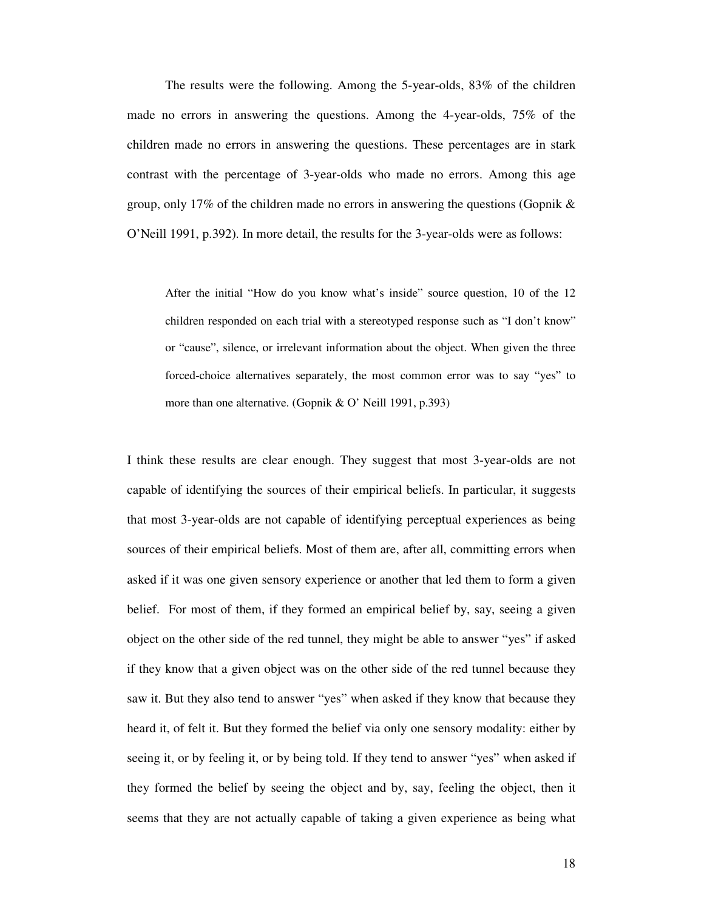The results were the following. Among the 5-year-olds, 83% of the children made no errors in answering the questions. Among the 4-year-olds, 75% of the children made no errors in answering the questions. These percentages are in stark contrast with the percentage of 3-year-olds who made no errors. Among this age group, only 17% of the children made no errors in answering the questions (Gopnik  $\&$ O'Neill 1991, p.392). In more detail, the results for the 3-year-olds were as follows:

After the initial "How do you know what's inside" source question, 10 of the 12 children responded on each trial with a stereotyped response such as "I don't know" or "cause", silence, or irrelevant information about the object. When given the three forced-choice alternatives separately, the most common error was to say "yes" to more than one alternative. (Gopnik & O' Neill 1991, p.393)

I think these results are clear enough. They suggest that most 3-year-olds are not capable of identifying the sources of their empirical beliefs. In particular, it suggests that most 3-year-olds are not capable of identifying perceptual experiences as being sources of their empirical beliefs. Most of them are, after all, committing errors when asked if it was one given sensory experience or another that led them to form a given belief. For most of them, if they formed an empirical belief by, say, seeing a given object on the other side of the red tunnel, they might be able to answer "yes" if asked if they know that a given object was on the other side of the red tunnel because they saw it. But they also tend to answer "yes" when asked if they know that because they heard it, of felt it. But they formed the belief via only one sensory modality: either by seeing it, or by feeling it, or by being told. If they tend to answer "yes" when asked if they formed the belief by seeing the object and by, say, feeling the object, then it seems that they are not actually capable of taking a given experience as being what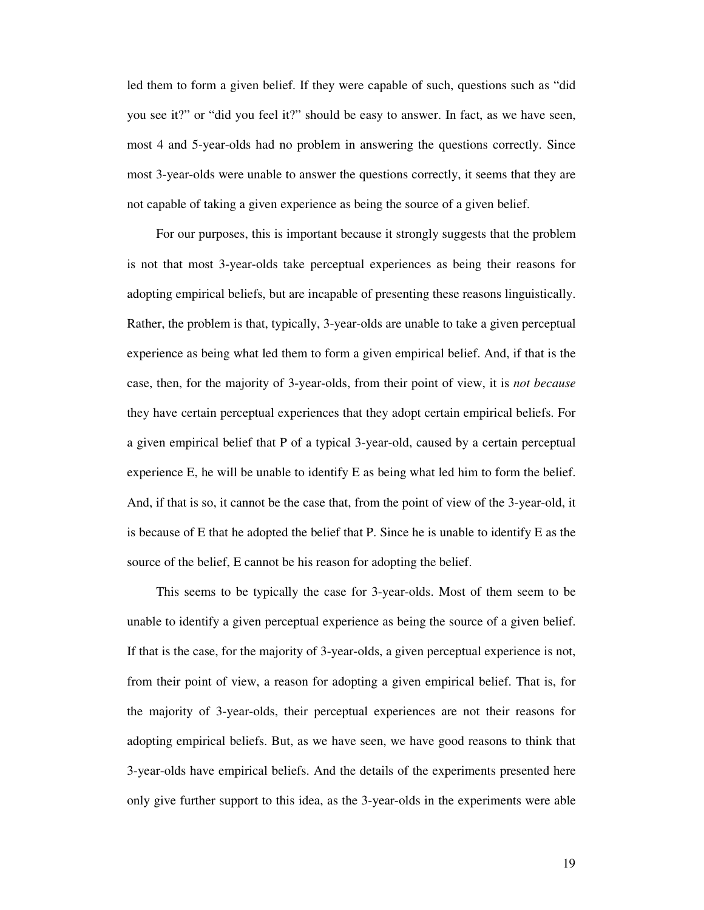led them to form a given belief. If they were capable of such, questions such as "did you see it?" or "did you feel it?" should be easy to answer. In fact, as we have seen, most 4 and 5-year-olds had no problem in answering the questions correctly. Since most 3-year-olds were unable to answer the questions correctly, it seems that they are not capable of taking a given experience as being the source of a given belief.

 For our purposes, this is important because it strongly suggests that the problem is not that most 3-year-olds take perceptual experiences as being their reasons for adopting empirical beliefs, but are incapable of presenting these reasons linguistically. Rather, the problem is that, typically, 3-year-olds are unable to take a given perceptual experience as being what led them to form a given empirical belief. And, if that is the case, then, for the majority of 3-year-olds, from their point of view, it is *not because* they have certain perceptual experiences that they adopt certain empirical beliefs. For a given empirical belief that P of a typical 3-year-old, caused by a certain perceptual experience E, he will be unable to identify E as being what led him to form the belief. And, if that is so, it cannot be the case that, from the point of view of the 3-year-old, it is because of E that he adopted the belief that P. Since he is unable to identify E as the source of the belief, E cannot be his reason for adopting the belief.

 This seems to be typically the case for 3-year-olds. Most of them seem to be unable to identify a given perceptual experience as being the source of a given belief. If that is the case, for the majority of 3-year-olds, a given perceptual experience is not, from their point of view, a reason for adopting a given empirical belief. That is, for the majority of 3-year-olds, their perceptual experiences are not their reasons for adopting empirical beliefs. But, as we have seen, we have good reasons to think that 3-year-olds have empirical beliefs. And the details of the experiments presented here only give further support to this idea, as the 3-year-olds in the experiments were able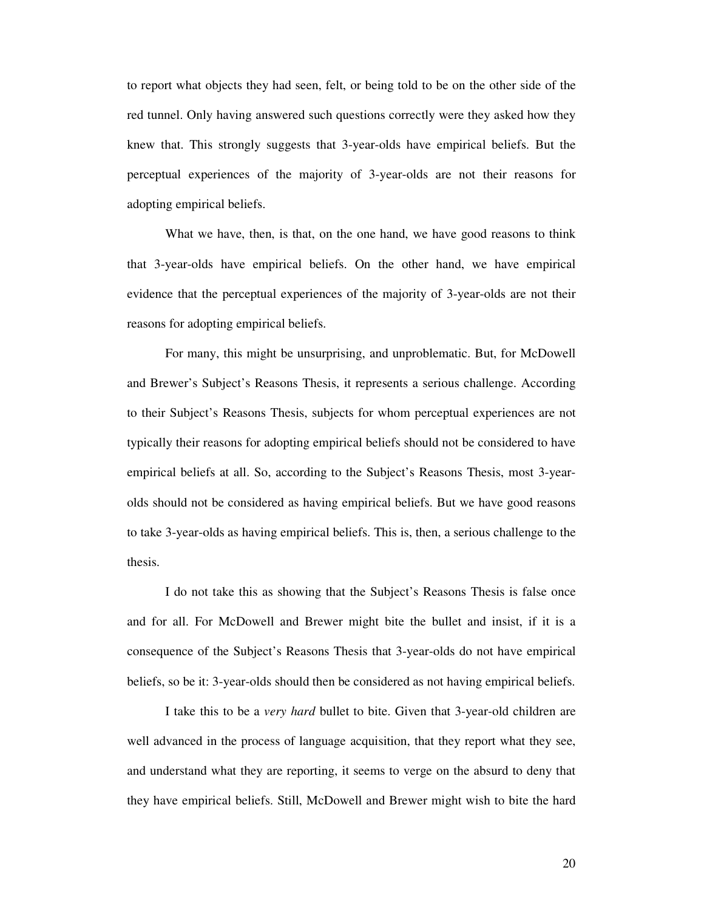to report what objects they had seen, felt, or being told to be on the other side of the red tunnel. Only having answered such questions correctly were they asked how they knew that. This strongly suggests that 3-year-olds have empirical beliefs. But the perceptual experiences of the majority of 3-year-olds are not their reasons for adopting empirical beliefs.

What we have, then, is that, on the one hand, we have good reasons to think that 3-year-olds have empirical beliefs. On the other hand, we have empirical evidence that the perceptual experiences of the majority of 3-year-olds are not their reasons for adopting empirical beliefs.

 For many, this might be unsurprising, and unproblematic. But, for McDowell and Brewer's Subject's Reasons Thesis, it represents a serious challenge. According to their Subject's Reasons Thesis, subjects for whom perceptual experiences are not typically their reasons for adopting empirical beliefs should not be considered to have empirical beliefs at all. So, according to the Subject's Reasons Thesis, most 3-yearolds should not be considered as having empirical beliefs. But we have good reasons to take 3-year-olds as having empirical beliefs. This is, then, a serious challenge to the thesis.

 I do not take this as showing that the Subject's Reasons Thesis is false once and for all. For McDowell and Brewer might bite the bullet and insist, if it is a consequence of the Subject's Reasons Thesis that 3-year-olds do not have empirical beliefs, so be it: 3-year-olds should then be considered as not having empirical beliefs.

 I take this to be a *very hard* bullet to bite. Given that 3-year-old children are well advanced in the process of language acquisition, that they report what they see, and understand what they are reporting, it seems to verge on the absurd to deny that they have empirical beliefs. Still, McDowell and Brewer might wish to bite the hard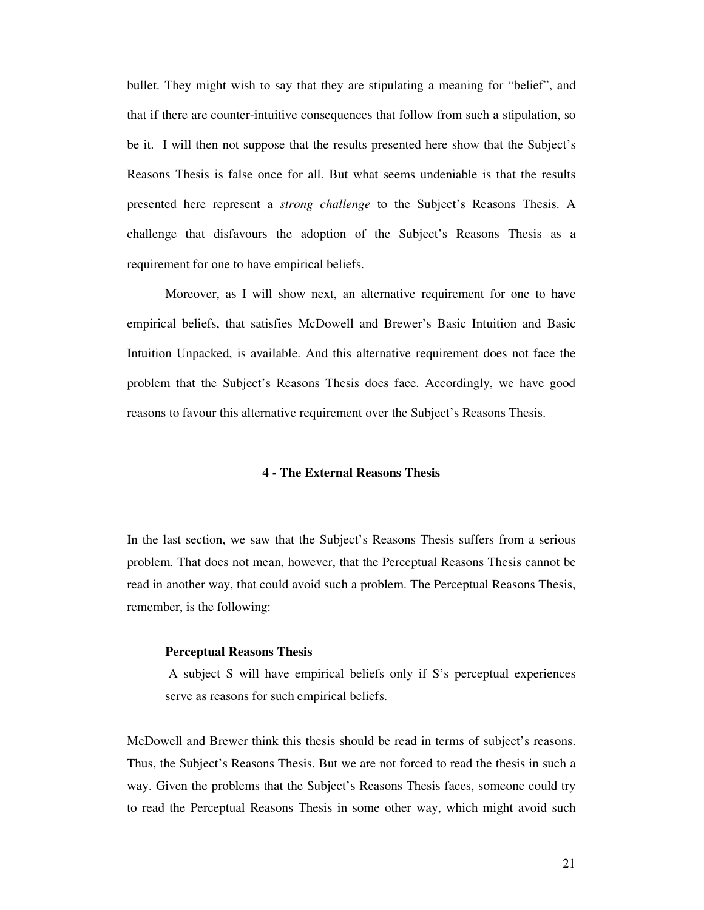bullet. They might wish to say that they are stipulating a meaning for "belief", and that if there are counter-intuitive consequences that follow from such a stipulation, so be it. I will then not suppose that the results presented here show that the Subject's Reasons Thesis is false once for all. But what seems undeniable is that the results presented here represent a *strong challenge* to the Subject's Reasons Thesis. A challenge that disfavours the adoption of the Subject's Reasons Thesis as a requirement for one to have empirical beliefs.

Moreover, as I will show next, an alternative requirement for one to have empirical beliefs, that satisfies McDowell and Brewer's Basic Intuition and Basic Intuition Unpacked, is available. And this alternative requirement does not face the problem that the Subject's Reasons Thesis does face. Accordingly, we have good reasons to favour this alternative requirement over the Subject's Reasons Thesis.

# **4 - The External Reasons Thesis**

In the last section, we saw that the Subject's Reasons Thesis suffers from a serious problem. That does not mean, however, that the Perceptual Reasons Thesis cannot be read in another way, that could avoid such a problem. The Perceptual Reasons Thesis, remember, is the following:

#### **Perceptual Reasons Thesis**

 A subject S will have empirical beliefs only if S's perceptual experiences serve as reasons for such empirical beliefs.

McDowell and Brewer think this thesis should be read in terms of subject's reasons. Thus, the Subject's Reasons Thesis. But we are not forced to read the thesis in such a way. Given the problems that the Subject's Reasons Thesis faces, someone could try to read the Perceptual Reasons Thesis in some other way, which might avoid such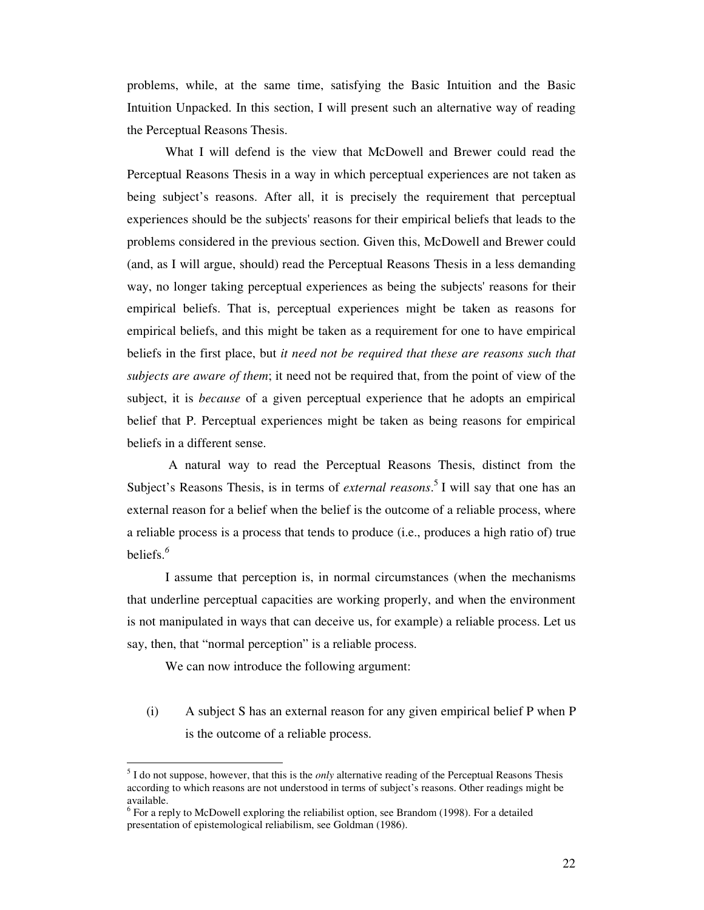problems, while, at the same time, satisfying the Basic Intuition and the Basic Intuition Unpacked. In this section, I will present such an alternative way of reading the Perceptual Reasons Thesis.

What I will defend is the view that McDowell and Brewer could read the Perceptual Reasons Thesis in a way in which perceptual experiences are not taken as being subject's reasons. After all, it is precisely the requirement that perceptual experiences should be the subjects' reasons for their empirical beliefs that leads to the problems considered in the previous section. Given this, McDowell and Brewer could (and, as I will argue, should) read the Perceptual Reasons Thesis in a less demanding way, no longer taking perceptual experiences as being the subjects' reasons for their empirical beliefs. That is, perceptual experiences might be taken as reasons for empirical beliefs, and this might be taken as a requirement for one to have empirical beliefs in the first place, but *it need not be required that these are reasons such that subjects are aware of them*; it need not be required that, from the point of view of the subject, it is *because* of a given perceptual experience that he adopts an empirical belief that P. Perceptual experiences might be taken as being reasons for empirical beliefs in a different sense.

 A natural way to read the Perceptual Reasons Thesis, distinct from the Subject's Reasons Thesis, is in terms of *external reasons*. <sup>5</sup>I will say that one has an external reason for a belief when the belief is the outcome of a reliable process, where a reliable process is a process that tends to produce (i.e., produces a high ratio of) true beliefs.*<sup>6</sup>*

 I assume that perception is, in normal circumstances (when the mechanisms that underline perceptual capacities are working properly, and when the environment is not manipulated in ways that can deceive us, for example) a reliable process. Let us say, then, that "normal perception" is a reliable process.

We can now introduce the following argument:

-

(i) A subject S has an external reason for any given empirical belief P when P is the outcome of a reliable process.

<sup>&</sup>lt;sup>5</sup> I do not suppose, however, that this is the *only* alternative reading of the Perceptual Reasons Thesis according to which reasons are not understood in terms of subject's reasons. Other readings might be available.

 $6$  For a reply to McDowell exploring the reliabilist option, see Brandom (1998). For a detailed presentation of epistemological reliabilism, see Goldman (1986).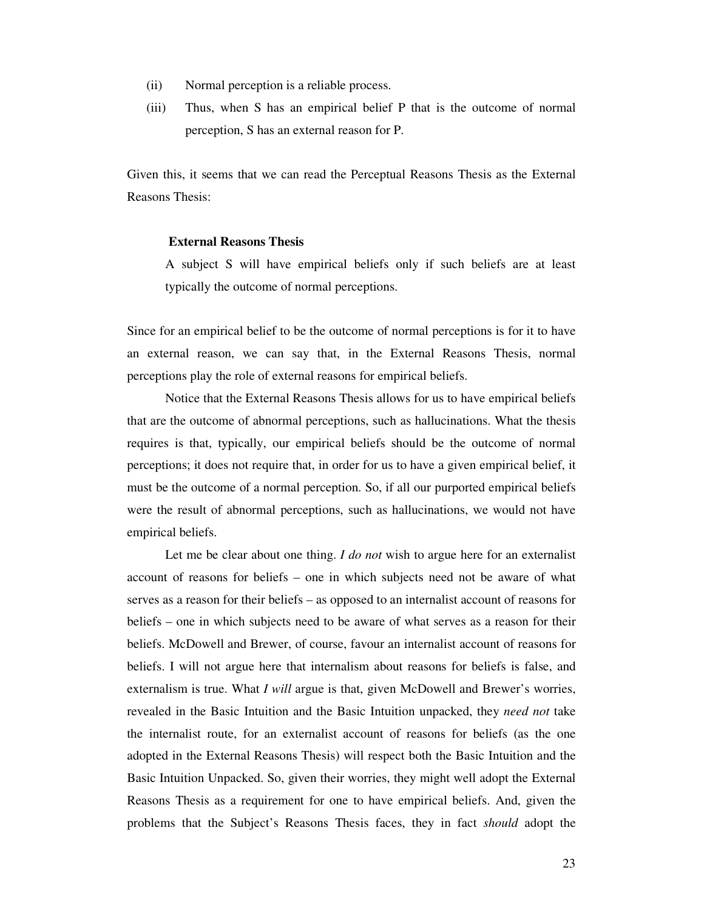- (ii) Normal perception is a reliable process.
- (iii) Thus, when S has an empirical belief P that is the outcome of normal perception, S has an external reason for P.

Given this, it seems that we can read the Perceptual Reasons Thesis as the External Reasons Thesis:

# **External Reasons Thesis**

A subject S will have empirical beliefs only if such beliefs are at least typically the outcome of normal perceptions.

Since for an empirical belief to be the outcome of normal perceptions is for it to have an external reason, we can say that, in the External Reasons Thesis, normal perceptions play the role of external reasons for empirical beliefs.

 Notice that the External Reasons Thesis allows for us to have empirical beliefs that are the outcome of abnormal perceptions, such as hallucinations. What the thesis requires is that, typically, our empirical beliefs should be the outcome of normal perceptions; it does not require that, in order for us to have a given empirical belief, it must be the outcome of a normal perception. So, if all our purported empirical beliefs were the result of abnormal perceptions, such as hallucinations, we would not have empirical beliefs.

 Let me be clear about one thing. *I do not* wish to argue here for an externalist account of reasons for beliefs – one in which subjects need not be aware of what serves as a reason for their beliefs – as opposed to an internalist account of reasons for beliefs – one in which subjects need to be aware of what serves as a reason for their beliefs. McDowell and Brewer, of course, favour an internalist account of reasons for beliefs. I will not argue here that internalism about reasons for beliefs is false, and externalism is true. What *I will* argue is that, given McDowell and Brewer's worries, revealed in the Basic Intuition and the Basic Intuition unpacked, they *need not* take the internalist route, for an externalist account of reasons for beliefs (as the one adopted in the External Reasons Thesis) will respect both the Basic Intuition and the Basic Intuition Unpacked. So, given their worries, they might well adopt the External Reasons Thesis as a requirement for one to have empirical beliefs. And, given the problems that the Subject's Reasons Thesis faces, they in fact *should* adopt the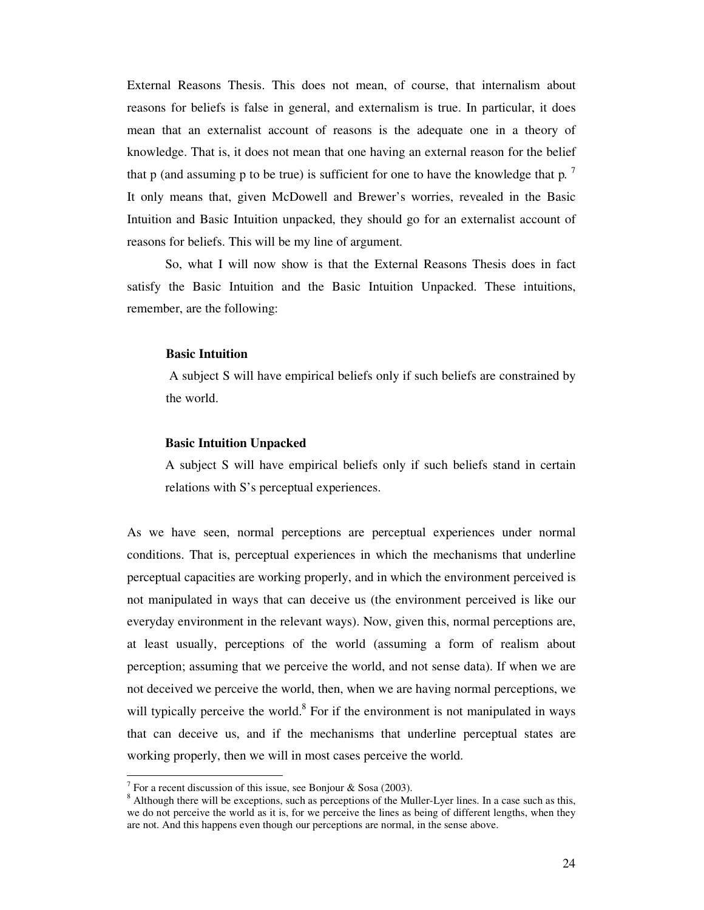External Reasons Thesis. This does not mean, of course, that internalism about reasons for beliefs is false in general, and externalism is true. In particular, it does mean that an externalist account of reasons is the adequate one in a theory of knowledge. That is, it does not mean that one having an external reason for the belief that p (and assuming p to be true) is sufficient for one to have the knowledge that p*.*  7 It only means that, given McDowell and Brewer's worries, revealed in the Basic Intuition and Basic Intuition unpacked, they should go for an externalist account of reasons for beliefs. This will be my line of argument.

 So, what I will now show is that the External Reasons Thesis does in fact satisfy the Basic Intuition and the Basic Intuition Unpacked. These intuitions, remember, are the following:

# **Basic Intuition**

 A subject S will have empirical beliefs only if such beliefs are constrained by the world.

# **Basic Intuition Unpacked**

A subject S will have empirical beliefs only if such beliefs stand in certain relations with S's perceptual experiences.

As we have seen, normal perceptions are perceptual experiences under normal conditions. That is, perceptual experiences in which the mechanisms that underline perceptual capacities are working properly, and in which the environment perceived is not manipulated in ways that can deceive us (the environment perceived is like our everyday environment in the relevant ways). Now, given this, normal perceptions are, at least usually, perceptions of the world (assuming a form of realism about perception; assuming that we perceive the world, and not sense data). If when we are not deceived we perceive the world, then, when we are having normal perceptions, we will typically perceive the world. $8$  For if the environment is not manipulated in ways that can deceive us, and if the mechanisms that underline perceptual states are working properly, then we will in most cases perceive the world.

-

<sup>&</sup>lt;sup>7</sup> For a recent discussion of this issue, see Bonjour & Sosa (2003).

<sup>&</sup>lt;sup>8</sup> Although there will be exceptions, such as perceptions of the Muller-Lyer lines. In a case such as this, we do not perceive the world as it is, for we perceive the lines as being of different lengths, when they are not. And this happens even though our perceptions are normal, in the sense above.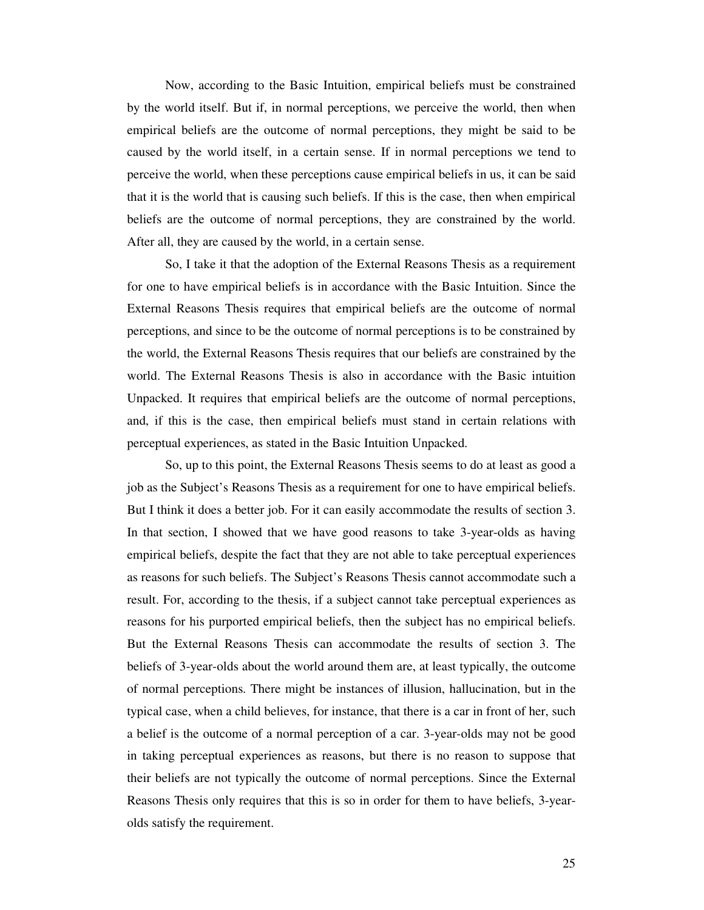Now, according to the Basic Intuition, empirical beliefs must be constrained by the world itself. But if, in normal perceptions, we perceive the world, then when empirical beliefs are the outcome of normal perceptions, they might be said to be caused by the world itself, in a certain sense. If in normal perceptions we tend to perceive the world, when these perceptions cause empirical beliefs in us, it can be said that it is the world that is causing such beliefs. If this is the case, then when empirical beliefs are the outcome of normal perceptions, they are constrained by the world. After all, they are caused by the world, in a certain sense.

 So, I take it that the adoption of the External Reasons Thesis as a requirement for one to have empirical beliefs is in accordance with the Basic Intuition. Since the External Reasons Thesis requires that empirical beliefs are the outcome of normal perceptions, and since to be the outcome of normal perceptions is to be constrained by the world, the External Reasons Thesis requires that our beliefs are constrained by the world. The External Reasons Thesis is also in accordance with the Basic intuition Unpacked. It requires that empirical beliefs are the outcome of normal perceptions, and, if this is the case, then empirical beliefs must stand in certain relations with perceptual experiences, as stated in the Basic Intuition Unpacked.

So, up to this point, the External Reasons Thesis seems to do at least as good a job as the Subject's Reasons Thesis as a requirement for one to have empirical beliefs. But I think it does a better job. For it can easily accommodate the results of section 3. In that section, I showed that we have good reasons to take 3-year-olds as having empirical beliefs, despite the fact that they are not able to take perceptual experiences as reasons for such beliefs. The Subject's Reasons Thesis cannot accommodate such a result. For, according to the thesis, if a subject cannot take perceptual experiences as reasons for his purported empirical beliefs, then the subject has no empirical beliefs. But the External Reasons Thesis can accommodate the results of section 3. The beliefs of 3-year-olds about the world around them are, at least typically, the outcome of normal perceptions. There might be instances of illusion, hallucination, but in the typical case, when a child believes, for instance, that there is a car in front of her, such a belief is the outcome of a normal perception of a car. 3-year-olds may not be good in taking perceptual experiences as reasons, but there is no reason to suppose that their beliefs are not typically the outcome of normal perceptions. Since the External Reasons Thesis only requires that this is so in order for them to have beliefs, 3-yearolds satisfy the requirement.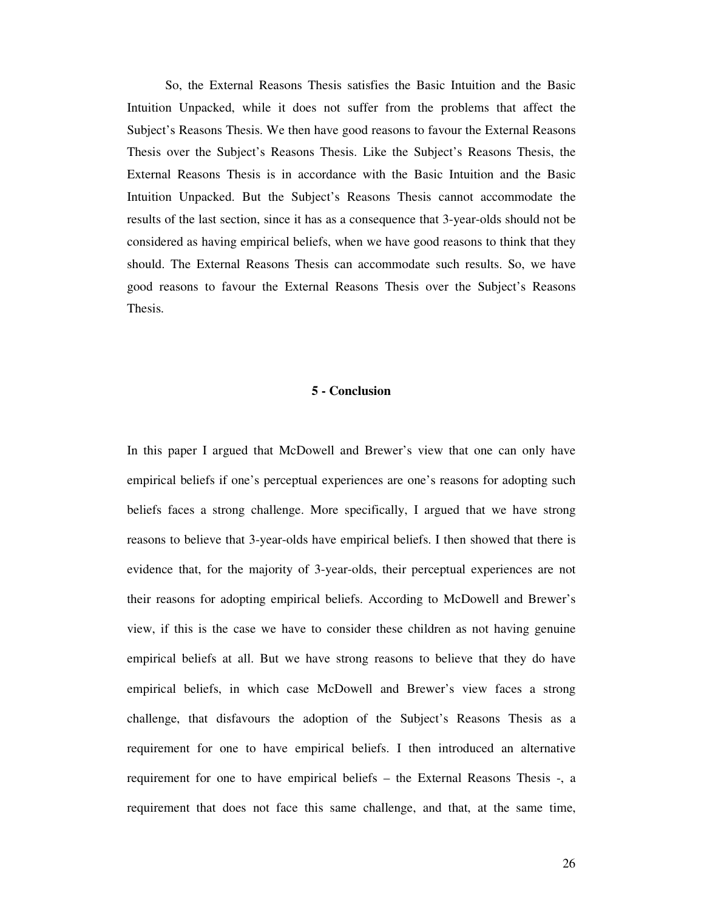So, the External Reasons Thesis satisfies the Basic Intuition and the Basic Intuition Unpacked, while it does not suffer from the problems that affect the Subject's Reasons Thesis. We then have good reasons to favour the External Reasons Thesis over the Subject's Reasons Thesis. Like the Subject's Reasons Thesis, the External Reasons Thesis is in accordance with the Basic Intuition and the Basic Intuition Unpacked. But the Subject's Reasons Thesis cannot accommodate the results of the last section, since it has as a consequence that 3-year-olds should not be considered as having empirical beliefs, when we have good reasons to think that they should. The External Reasons Thesis can accommodate such results. So, we have good reasons to favour the External Reasons Thesis over the Subject's Reasons Thesis.

# **5 - Conclusion**

In this paper I argued that McDowell and Brewer's view that one can only have empirical beliefs if one's perceptual experiences are one's reasons for adopting such beliefs faces a strong challenge. More specifically, I argued that we have strong reasons to believe that 3-year-olds have empirical beliefs. I then showed that there is evidence that, for the majority of 3-year-olds, their perceptual experiences are not their reasons for adopting empirical beliefs. According to McDowell and Brewer's view, if this is the case we have to consider these children as not having genuine empirical beliefs at all. But we have strong reasons to believe that they do have empirical beliefs, in which case McDowell and Brewer's view faces a strong challenge, that disfavours the adoption of the Subject's Reasons Thesis as a requirement for one to have empirical beliefs. I then introduced an alternative requirement for one to have empirical beliefs – the External Reasons Thesis -, a requirement that does not face this same challenge, and that, at the same time,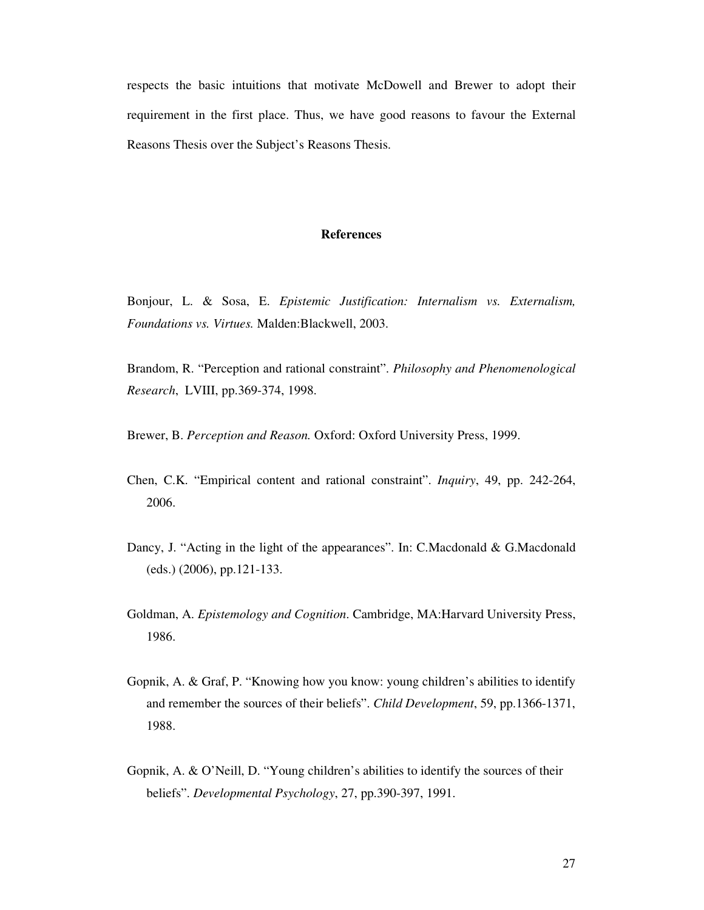respects the basic intuitions that motivate McDowell and Brewer to adopt their requirement in the first place. Thus, we have good reasons to favour the External Reasons Thesis over the Subject's Reasons Thesis.

# **References**

Bonjour, L. & Sosa, E. *Epistemic Justification: Internalism vs. Externalism, Foundations vs. Virtues.* Malden:Blackwell, 2003.

Brandom, R. "Perception and rational constraint". *Philosophy and Phenomenological Research*, LVIII, pp.369-374, 1998.

Brewer, B. *Perception and Reason.* Oxford: Oxford University Press, 1999.

- Chen, C.K. "Empirical content and rational constraint". *Inquiry*, 49, pp. 242-264, 2006.
- Dancy, J. "Acting in the light of the appearances". In: C.Macdonald & G.Macdonald (eds.) (2006), pp.121-133.
- Goldman, A. *Epistemology and Cognition*. Cambridge, MA:Harvard University Press, 1986.
- Gopnik, A. & Graf, P. "Knowing how you know: young children's abilities to identify and remember the sources of their beliefs". *Child Development*, 59, pp.1366-1371, 1988.
- Gopnik, A. & O'Neill, D. "Young children's abilities to identify the sources of their beliefs". *Developmental Psychology*, 27, pp.390-397, 1991.

27